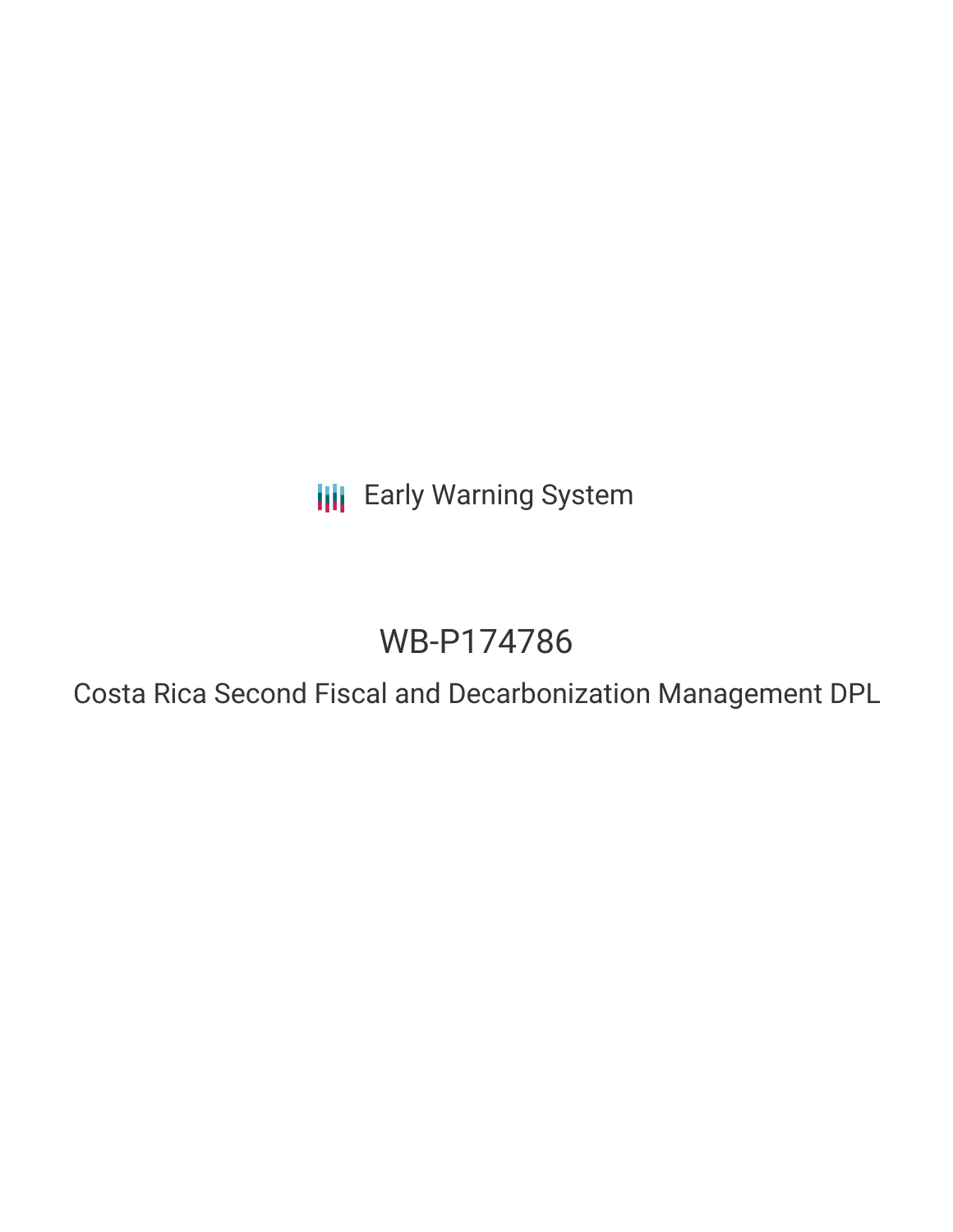**III** Early Warning System

# WB-P174786

Costa Rica Second Fiscal and Decarbonization Management DPL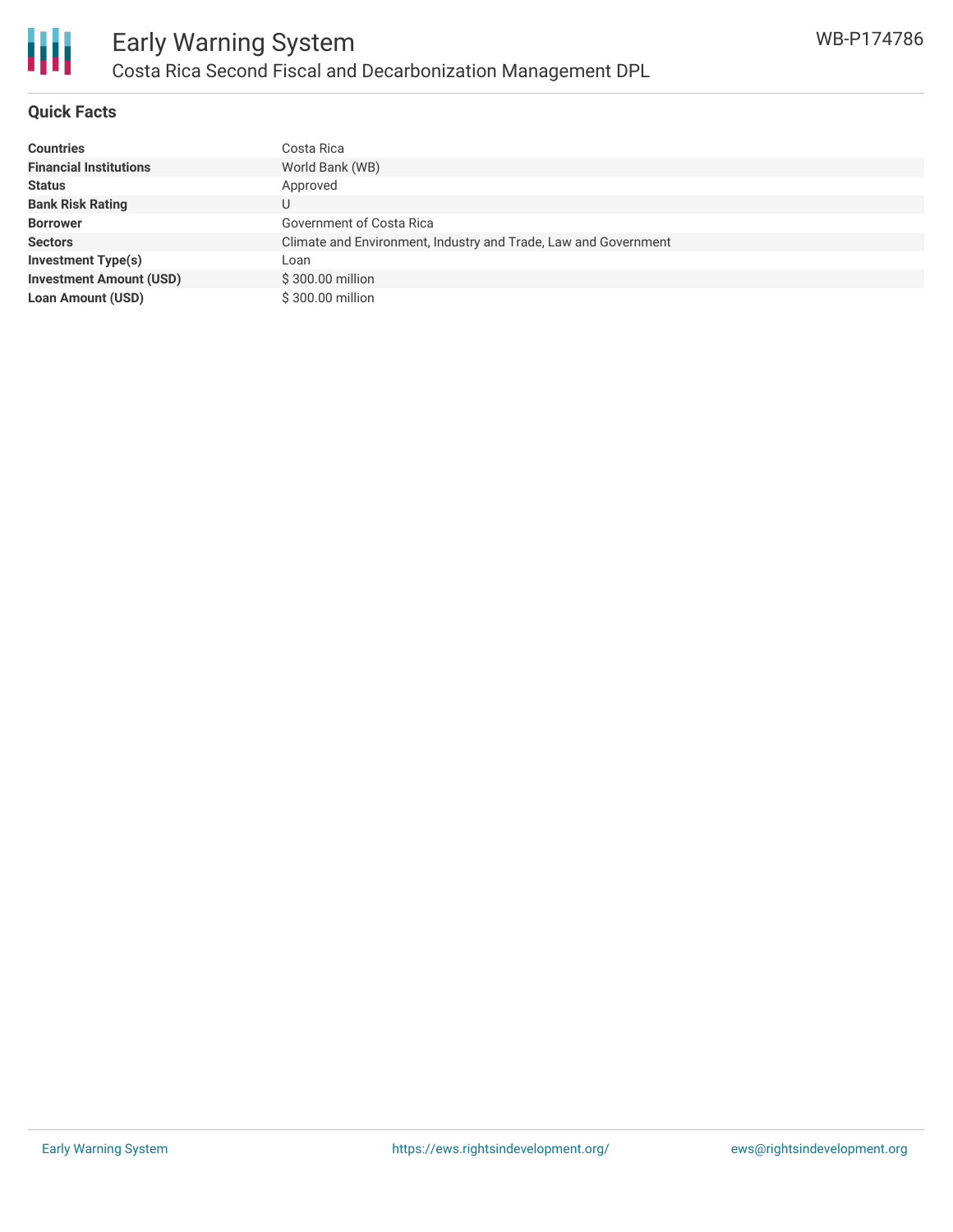

## **Quick Facts**

| <b>Countries</b>               | Costa Rica                                                      |
|--------------------------------|-----------------------------------------------------------------|
| <b>Financial Institutions</b>  | World Bank (WB)                                                 |
| <b>Status</b>                  | Approved                                                        |
| <b>Bank Risk Rating</b>        | U                                                               |
| <b>Borrower</b>                | Government of Costa Rica                                        |
| <b>Sectors</b>                 | Climate and Environment, Industry and Trade, Law and Government |
| <b>Investment Type(s)</b>      | Loan                                                            |
| <b>Investment Amount (USD)</b> | \$300.00 million                                                |
| <b>Loan Amount (USD)</b>       | \$300.00 million                                                |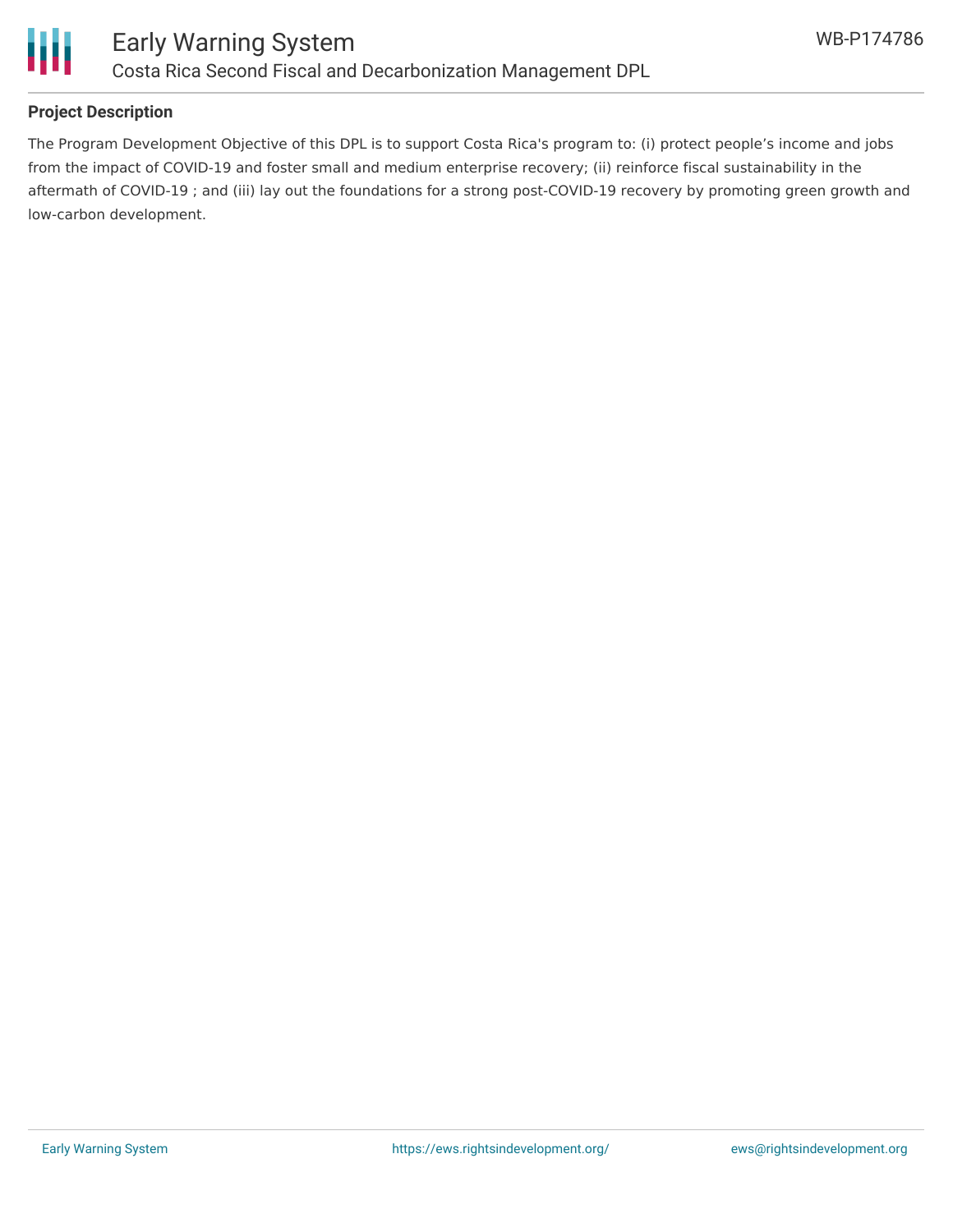

# **Project Description**

The Program Development Objective of this DPL is to support Costa Rica's program to: (i) protect people's income and jobs from the impact of COVID-19 and foster small and medium enterprise recovery; (ii) reinforce fiscal sustainability in the aftermath of COVID-19 ; and (iii) lay out the foundations for a strong post-COVID-19 recovery by promoting green growth and low-carbon development.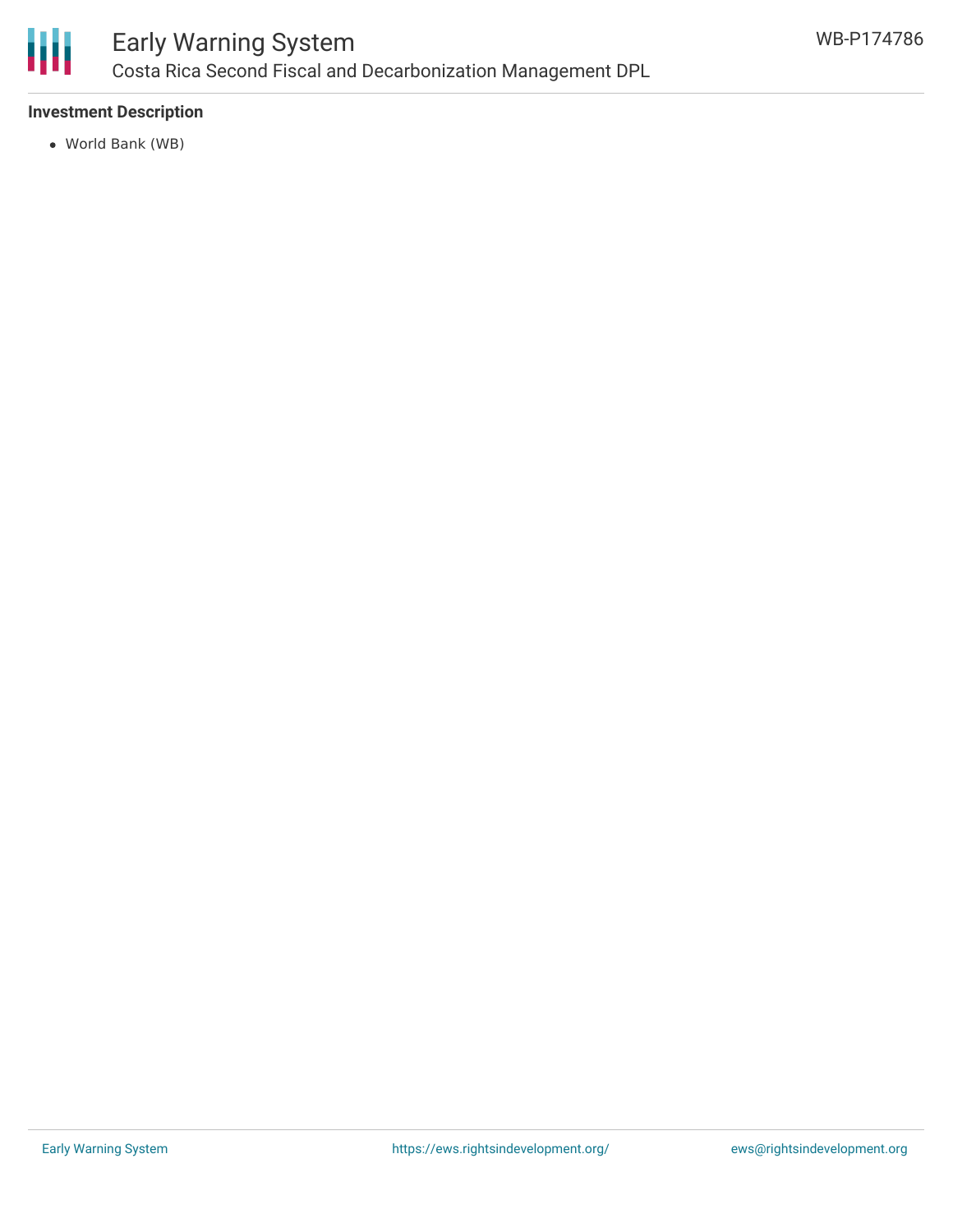

## **Investment Description**

World Bank (WB)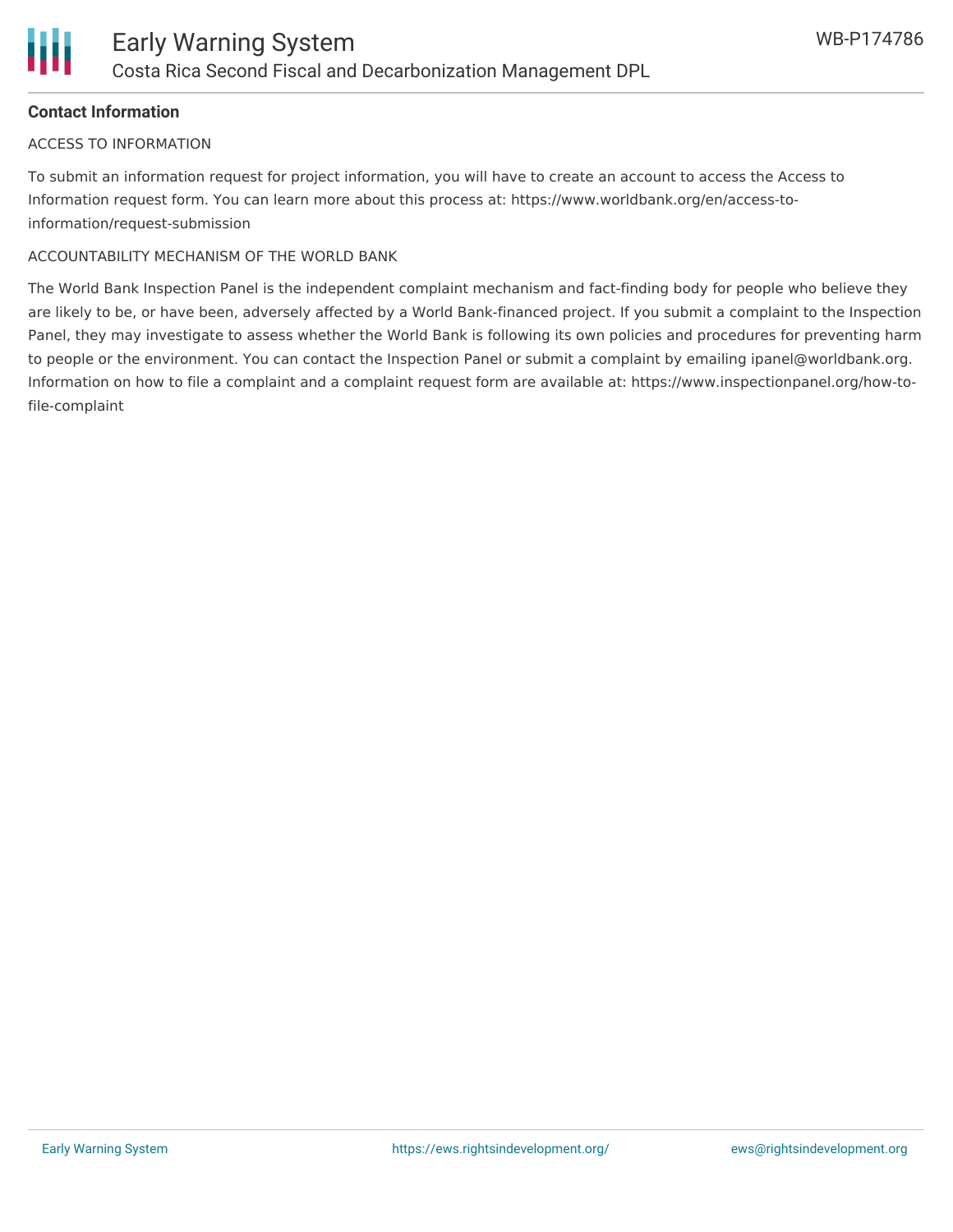# **Contact Information**

#### ACCESS TO INFORMATION

To submit an information request for project information, you will have to create an account to access the Access to Information request form. You can learn more about this process at: https://www.worldbank.org/en/access-toinformation/request-submission

#### ACCOUNTABILITY MECHANISM OF THE WORLD BANK

The World Bank Inspection Panel is the independent complaint mechanism and fact-finding body for people who believe they are likely to be, or have been, adversely affected by a World Bank-financed project. If you submit a complaint to the Inspection Panel, they may investigate to assess whether the World Bank is following its own policies and procedures for preventing harm to people or the environment. You can contact the Inspection Panel or submit a complaint by emailing ipanel@worldbank.org. Information on how to file a complaint and a complaint request form are available at: https://www.inspectionpanel.org/how-tofile-complaint